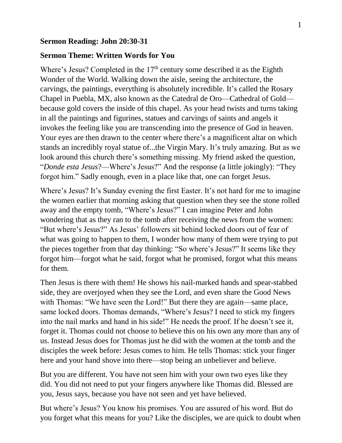## **Sermon Reading: John 20:30-31**

## **Sermon Theme: Written Words for You**

Where's Jesus? Completed in the  $17<sup>th</sup>$  century some described it as the Eighth Wonder of the World. Walking down the aisle, seeing the architecture, the carvings, the paintings, everything is absolutely incredible. It's called the Rosary Chapel in Puebla, MX, also known as the Catedral de Oro—Cathedral of Gold because gold covers the inside of this chapel. As your head twists and turns taking in all the paintings and figurines, statues and carvings of saints and angels it invokes the feeling like you are transcending into the presence of God in heaven. Your eyes are then drawn to the center where there's a magnificent altar on which stands an incredibly royal statue of...the Virgin Mary. It's truly amazing. But as we look around this church there's something missing. My friend asked the question, "*Donde esta Jesus*?—Where's Jesus?" And the response (a little jokingly): "They forgot him." Sadly enough, even in a place like that, one can forget Jesus.

Where's Jesus? It's Sunday evening the first Easter. It's not hard for me to imagine the women earlier that morning asking that question when they see the stone rolled away and the empty tomb, "Where's Jesus?" I can imagine Peter and John wondering that as they ran to the tomb after receiving the news from the women: "But where's Jesus?" As Jesus' followers sit behind locked doors out of fear of what was going to happen to them, I wonder how many of them were trying to put the pieces together from that day thinking: "So where's Jesus?" It seems like they forgot him—forgot what he said, forgot what he promised, forgot what this means for them.

Then Jesus is there with them! He shows his nail-marked hands and spear-stabbed side, they are overjoyed when they see the Lord, and even share the Good News with Thomas: "We have seen the Lord!" But there they are again—same place, same locked doors. Thomas demands, "Where's Jesus? I need to stick my fingers into the nail marks and hand in his side!" He needs the proof. If he doesn't see it, forget it. Thomas could not choose to believe this on his own any more than any of us. Instead Jesus does for Thomas just he did with the women at the tomb and the disciples the week before: Jesus comes to him. He tells Thomas: stick your finger here and your hand shove into there—stop being an unbeliever and believe.

But you are different. You have not seen him with your own two eyes like they did. You did not need to put your fingers anywhere like Thomas did. Blessed are you, Jesus says, because you have not seen and yet have believed.

But where's Jesus? You know his promises. You are assured of his word. But do you forget what this means for you? Like the disciples, we are quick to doubt when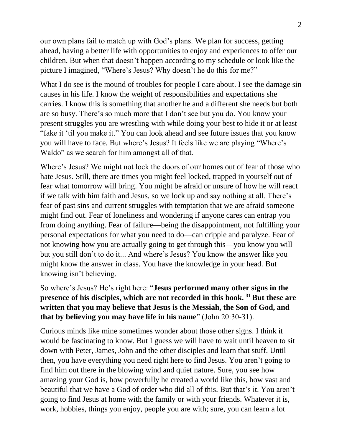our own plans fail to match up with God's plans. We plan for success, getting ahead, having a better life with opportunities to enjoy and experiences to offer our children. But when that doesn't happen according to my schedule or look like the picture I imagined, "Where's Jesus? Why doesn't he do this for me?"

What I do see is the mound of troubles for people I care about. I see the damage sin causes in his life. I know the weight of responsibilities and expectations she carries. I know this is something that another he and a different she needs but both are so busy. There's so much more that I don't see but you do. You know your present struggles you are wrestling with while doing your best to hide it or at least "fake it 'til you make it." You can look ahead and see future issues that you know you will have to face. But where's Jesus? It feels like we are playing "Where's Waldo" as we search for him amongst all of that.

Where's Jesus? We might not lock the doors of our homes out of fear of those who hate Jesus. Still, there are times you might feel locked, trapped in yourself out of fear what tomorrow will bring. You might be afraid or unsure of how he will react if we talk with him faith and Jesus, so we lock up and say nothing at all. There's fear of past sins and current struggles with temptation that we are afraid someone might find out. Fear of loneliness and wondering if anyone cares can entrap you from doing anything. Fear of failure—being the disappointment, not fulfilling your personal expectations for what you need to do—can cripple and paralyze. Fear of not knowing how you are actually going to get through this—you know you will but you still don't to do it... And where's Jesus? You know the answer like you might know the answer in class. You have the knowledge in your head. But knowing isn't believing.

So where's Jesus? He's right here: "**Jesus performed many other signs in the presence of his disciples, which are not recorded in this book. <sup>31</sup>But these are written that you may believe that Jesus is the Messiah, the Son of God, and that by believing you may have life in his name**" (John 20:30-31).

Curious minds like mine sometimes wonder about those other signs. I think it would be fascinating to know. But I guess we will have to wait until heaven to sit down with Peter, James, John and the other disciples and learn that stuff. Until then, you have everything you need right here to find Jesus. You aren't going to find him out there in the blowing wind and quiet nature. Sure, you see how amazing your God is, how powerfully he created a world like this, how vast and beautiful that we have a God of order who did all of this. But that's it. You aren't going to find Jesus at home with the family or with your friends. Whatever it is, work, hobbies, things you enjoy, people you are with; sure, you can learn a lot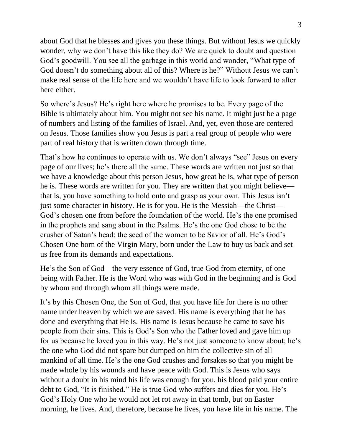about God that he blesses and gives you these things. But without Jesus we quickly wonder, why we don't have this like they do? We are quick to doubt and question God's goodwill. You see all the garbage in this world and wonder, "What type of God doesn't do something about all of this? Where is he?" Without Jesus we can't make real sense of the life here and we wouldn't have life to look forward to after here either.

So where's Jesus? He's right here where he promises to be. Every page of the Bible is ultimately about him. You might not see his name. It might just be a page of numbers and listing of the families of Israel. And, yet, even those are centered on Jesus. Those families show you Jesus is part a real group of people who were part of real history that is written down through time.

That's how he continues to operate with us. We don't always "see" Jesus on every page of our lives; he's there all the same. These words are written not just so that we have a knowledge about this person Jesus, how great he is, what type of person he is. These words are written for you. They are written that you might believe that is, you have something to hold onto and grasp as your own. This Jesus isn't just some character in history. He is for you. He is the Messiah—the Christ— God's chosen one from before the foundation of the world. He's the one promised in the prophets and sang about in the Psalms. He's the one God chose to be the crusher of Satan's head; the seed of the women to be Savior of all. He's God's Chosen One born of the Virgin Mary, born under the Law to buy us back and set us free from its demands and expectations.

He's the Son of God—the very essence of God, true God from eternity, of one being with Father. He is the Word who was with God in the beginning and is God by whom and through whom all things were made.

It's by this Chosen One, the Son of God, that you have life for there is no other name under heaven by which we are saved. His name is everything that he has done and everything that He is. His name is Jesus because he came to save his people from their sins. This is God's Son who the Father loved and gave him up for us because he loved you in this way. He's not just someone to know about; he's the one who God did not spare but dumped on him the collective sin of all mankind of all time. He's the one God crushes and forsakes so that you might be made whole by his wounds and have peace with God. This is Jesus who says without a doubt in his mind his life was enough for you, his blood paid your entire debt to God, "It is finished." He is true God who suffers and dies for you. He's God's Holy One who he would not let rot away in that tomb, but on Easter morning, he lives. And, therefore, because he lives, you have life in his name. The